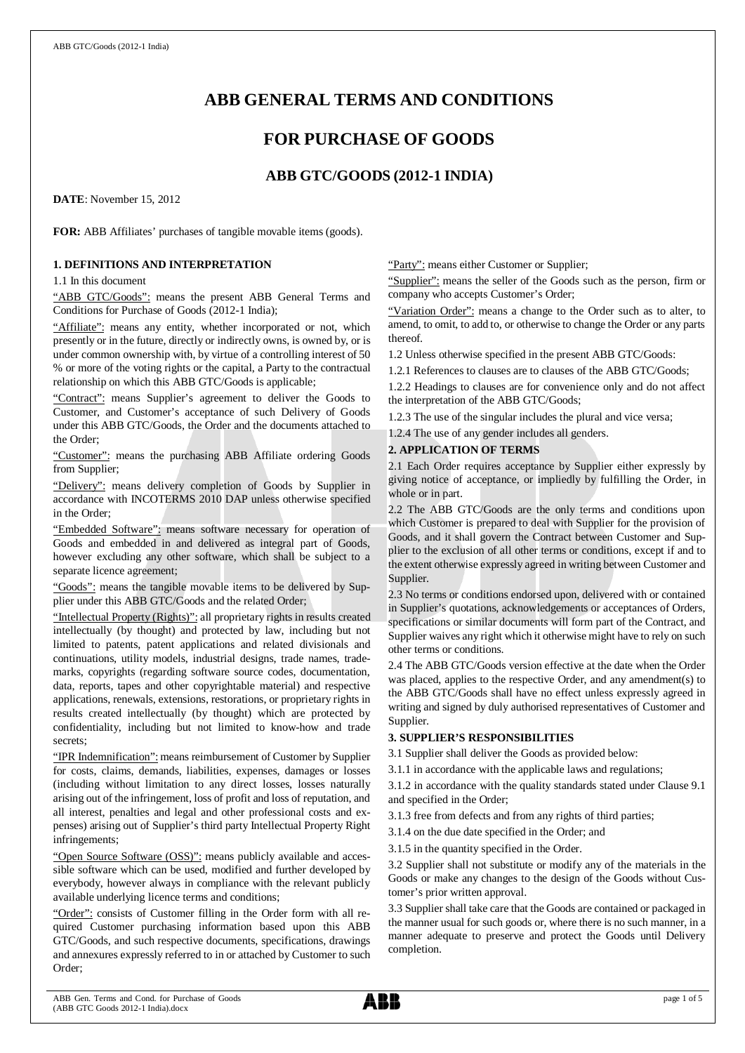# **ABB GENERAL TERMS AND CONDITIONS**

# **FOR PURCHASE OF GOODS**

# **ABB GTC/GOODS (2012-1 INDIA)**

**DATE**: November 15, 2012

**FOR:** ABB Affiliates' purchases of tangible movable items (goods).

# **1. DEFINITIONS AND INTERPRETATION**

1.1 In this document

"ABB GTC/Goods": means the present ABB General Terms and Conditions for Purchase of Goods (2012-1 India);

"Affiliate": means any entity, whether incorporated or not, which presently or in the future, directly or indirectly owns, is owned by, or is under common ownership with, by virtue of a controlling interest of 50 % or more of the voting rights or the capital, a Party to the contractual relationship on which this ABB GTC/Goods is applicable;

"Contract": means Supplier's agreement to deliver the Goods to Customer, and Customer's acceptance of such Delivery of Goods under this ABB GTC/Goods, the Order and the documents attached to the Order;

"Customer": means the purchasing ABB Affiliate ordering Goods from Supplier;

"Delivery": means delivery completion of Goods by Supplier in accordance with INCOTERMS 2010 DAP unless otherwise specified in the Order;

"Embedded Software": means software necessary for operation of Goods and embedded in and delivered as integral part of Goods, however excluding any other software, which shall be subject to a separate licence agreement;

"Goods": means the tangible movable items to be delivered by Supplier under this ABB GTC/Goods and the related Order;

"Intellectual Property (Rights)": all proprietary rights in results created intellectually (by thought) and protected by law, including but not limited to patents, patent applications and related divisionals and continuations, utility models, industrial designs, trade names, trademarks, copyrights (regarding software source codes, documentation, data, reports, tapes and other copyrightable material) and respective applications, renewals, extensions, restorations, or proprietary rights in results created intellectually (by thought) which are protected by confidentiality, including but not limited to know-how and trade secrets;

"IPR Indemnification": means reimbursement of Customer by Supplier for costs, claims, demands, liabilities, expenses, damages or losses (including without limitation to any direct losses, losses naturally arising out of the infringement, loss of profit and loss of reputation, and all interest, penalties and legal and other professional costs and expenses) arising out of Supplier's third party Intellectual Property Right infringements;

"Open Source Software (OSS)": means publicly available and accessible software which can be used, modified and further developed by everybody, however always in compliance with the relevant publicly available underlying licence terms and conditions;

"Order": consists of Customer filling in the Order form with all required Customer purchasing information based upon this ABB GTC/Goods, and such respective documents, specifications, drawings and annexures expressly referred to in or attached by Customer to such Order;

"Party": means either Customer or Supplier;

"Supplier": means the seller of the Goods such as the person, firm or company who accepts Customer's Order;

"Variation Order": means a change to the Order such as to alter, to amend, to omit, to add to, or otherwise to change the Order or any parts thereof.

1.2 Unless otherwise specified in the present ABB GTC/Goods:

1.2.1 References to clauses are to clauses of the ABB GTC/Goods;

1.2.2 Headings to clauses are for convenience only and do not affect the interpretation of the ABB GTC/Goods;

1.2.3 The use of the singular includes the plural and vice versa;

1.2.4 The use of any gender includes all genders.

## **2. APPLICATION OF TERMS**

2.1 Each Order requires acceptance by Supplier either expressly by giving notice of acceptance, or impliedly by fulfilling the Order, in whole or in part.

2.2 The ABB GTC/Goods are the only terms and conditions upon which Customer is prepared to deal with Supplier for the provision of Goods, and it shall govern the Contract between Customer and Supplier to the exclusion of all other terms or conditions, except if and to the extent otherwise expressly agreed in writing between Customer and Supplier.

2.3 No terms or conditions endorsed upon, delivered with or contained in Supplier's quotations, acknowledgements or acceptances of Orders, specifications or similar documents will form part of the Contract, and Supplier waives any right which it otherwise might have to rely on such other terms or conditions.

2.4 The ABB GTC/Goods version effective at the date when the Order was placed, applies to the respective Order, and any amendment(s) to the ABB GTC/Goods shall have no effect unless expressly agreed in writing and signed by duly authorised representatives of Customer and Supplier.

# **3. SUPPLIER'S RESPONSIBILITIES**

3.1 Supplier shall deliver the Goods as provided below:

3.1.1 in accordance with the applicable laws and regulations;

3.1.2 in accordance with the quality standards stated under Clause 9.1 and specified in the Order;

3.1.3 free from defects and from any rights of third parties;

3.1.4 on the due date specified in the Order; and

3.1.5 in the quantity specified in the Order.

3.2 Supplier shall not substitute or modify any of the materials in the Goods or make any changes to the design of the Goods without Customer's prior written approval.

3.3 Supplier shall take care that the Goods are contained or packaged in the manner usual for such goods or, where there is no such manner, in a manner adequate to preserve and protect the Goods until Delivery completion.

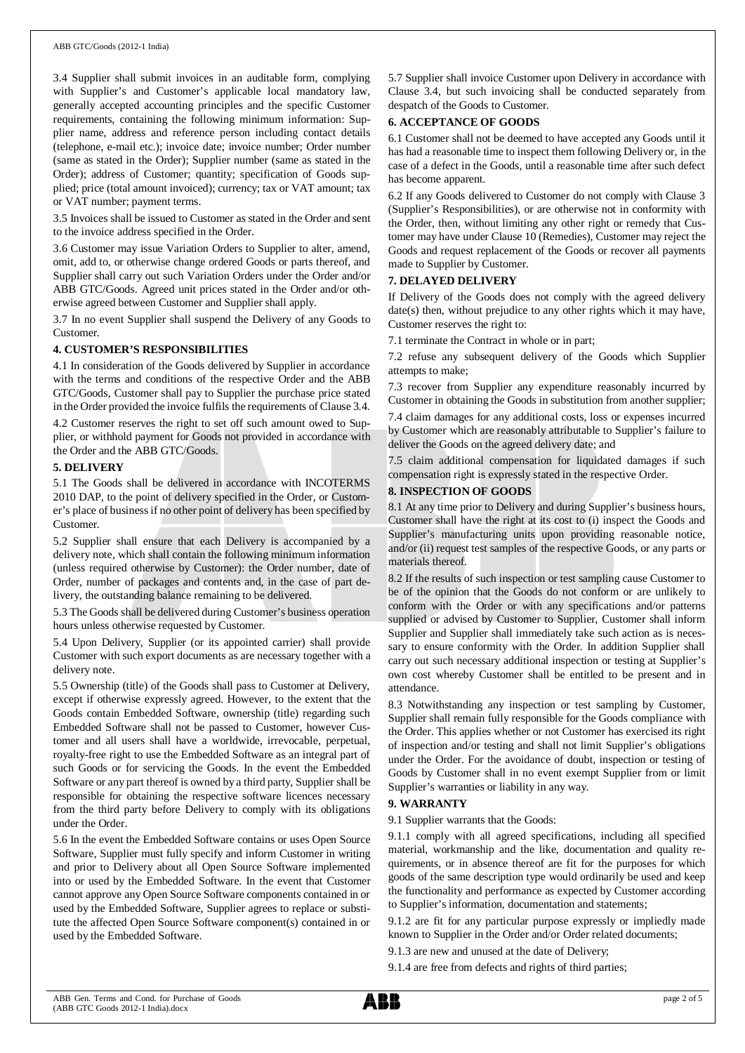#### ABB GTC/Goods (2012-1 India)

3.4 Supplier shall submit invoices in an auditable form, complying with Supplier's and Customer's applicable local mandatory law, generally accepted accounting principles and the specific Customer requirements, containing the following minimum information: Supplier name, address and reference person including contact details (telephone, e-mail etc.); invoice date; invoice number; Order number (same as stated in the Order); Supplier number (same as stated in the Order); address of Customer; quantity; specification of Goods supplied; price (total amount invoiced); currency; tax or VAT amount; tax or VAT number; payment terms.

3.5 Invoices shall be issued to Customer as stated in the Order and sent to the invoice address specified in the Order.

3.6 Customer may issue Variation Orders to Supplier to alter, amend, omit, add to, or otherwise change ordered Goods or parts thereof, and Supplier shall carry out such Variation Orders under the Order and/or ABB GTC/Goods. Agreed unit prices stated in the Order and/or otherwise agreed between Customer and Supplier shall apply.

3.7 In no event Supplier shall suspend the Delivery of any Goods to Customer.

#### **4. CUSTOMER'S RESPONSIBILITIES**

4.1 In consideration of the Goods delivered by Supplier in accordance with the terms and conditions of the respective Order and the ABB GTC/Goods, Customer shall pay to Supplier the purchase price stated in the Order provided the invoice fulfils the requirements of Clause 3.4.

4.2 Customer reserves the right to set off such amount owed to Supplier, or withhold payment for Goods not provided in accordance with the Order and the ABB GTC/Goods.

### **5. DELIVERY**

5.1 The Goods shall be delivered in accordance with INCOTERMS 2010 DAP, to the point of delivery specified in the Order, or Customer's place of business if no other point of delivery has been specified by Customer.

5.2 Supplier shall ensure that each Delivery is accompanied by a delivery note, which shall contain the following minimum information (unless required otherwise by Customer): the Order number, date of Order, number of packages and contents and, in the case of part delivery, the outstanding balance remaining to be delivered.

5.3 The Goods shall be delivered during Customer's business operation hours unless otherwise requested by Customer.

5.4 Upon Delivery, Supplier (or its appointed carrier) shall provide Customer with such export documents as are necessary together with a delivery note.

5.5 Ownership (title) of the Goods shall pass to Customer at Delivery, except if otherwise expressly agreed. However, to the extent that the Goods contain Embedded Software, ownership (title) regarding such Embedded Software shall not be passed to Customer, however Customer and all users shall have a worldwide, irrevocable, perpetual, royalty-free right to use the Embedded Software as an integral part of such Goods or for servicing the Goods. In the event the Embedded Software or any part thereof is owned by a third party, Supplier shall be responsible for obtaining the respective software licences necessary from the third party before Delivery to comply with its obligations under the Order.

5.6 In the event the Embedded Software contains or uses Open Source Software, Supplier must fully specify and inform Customer in writing and prior to Delivery about all Open Source Software implemented into or used by the Embedded Software. In the event that Customer cannot approve any Open Source Software components contained in or used by the Embedded Software, Supplier agrees to replace or substitute the affected Open Source Software component(s) contained in or used by the Embedded Software.

5.7 Supplier shall invoice Customer upon Delivery in accordance with Clause 3.4, but such invoicing shall be conducted separately from despatch of the Goods to Customer.

### **6. ACCEPTANCE OF GOODS**

6.1 Customer shall not be deemed to have accepted any Goods until it has had a reasonable time to inspect them following Delivery or, in the case of a defect in the Goods, until a reasonable time after such defect has become apparent.

6.2 If any Goods delivered to Customer do not comply with Clause 3 (Supplier's Responsibilities), or are otherwise not in conformity with the Order, then, without limiting any other right or remedy that Customer may have under Clause 10 (Remedies), Customer may reject the Goods and request replacement of the Goods or recover all payments made to Supplier by Customer.

## **7. DELAYED DELIVERY**

If Delivery of the Goods does not comply with the agreed delivery date(s) then, without prejudice to any other rights which it may have, Customer reserves the right to:

7.1 terminate the Contract in whole or in part;

7.2 refuse any subsequent delivery of the Goods which Supplier attempts to make;

7.3 recover from Supplier any expenditure reasonably incurred by Customer in obtaining the Goods in substitution from another supplier;

7.4 claim damages for any additional costs, loss or expenses incurred by Customer which are reasonably attributable to Supplier's failure to deliver the Goods on the agreed delivery date; and

7.5 claim additional compensation for liquidated damages if such compensation right is expressly stated in the respective Order.

### **8. INSPECTION OF GOODS**

8.1 At any time prior to Delivery and during Supplier's business hours, Customer shall have the right at its cost to (i) inspect the Goods and Supplier's manufacturing units upon providing reasonable notice, and/or (ii) request test samples of the respective Goods, or any parts or materials thereof.

8.2 If the results of such inspection or test sampling cause Customer to be of the opinion that the Goods do not conform or are unlikely to conform with the Order or with any specifications and/or patterns supplied or advised by Customer to Supplier, Customer shall inform Supplier and Supplier shall immediately take such action as is necessary to ensure conformity with the Order. In addition Supplier shall carry out such necessary additional inspection or testing at Supplier's own cost whereby Customer shall be entitled to be present and in attendance.

8.3 Notwithstanding any inspection or test sampling by Customer, Supplier shall remain fully responsible for the Goods compliance with the Order. This applies whether or not Customer has exercised its right of inspection and/or testing and shall not limit Supplier's obligations under the Order. For the avoidance of doubt, inspection or testing of Goods by Customer shall in no event exempt Supplier from or limit Supplier's warranties or liability in any way.

### **9. WARRANTY**

9.1 Supplier warrants that the Goods:

9.1.1 comply with all agreed specifications, including all specified material, workmanship and the like, documentation and quality requirements, or in absence thereof are fit for the purposes for which goods of the same description type would ordinarily be used and keep the functionality and performance as expected by Customer according to Supplier's information, documentation and statements;

9.1.2 are fit for any particular purpose expressly or impliedly made known to Supplier in the Order and/or Order related documents;

9.1.3 are new and unused at the date of Delivery;

9.1.4 are free from defects and rights of third parties;

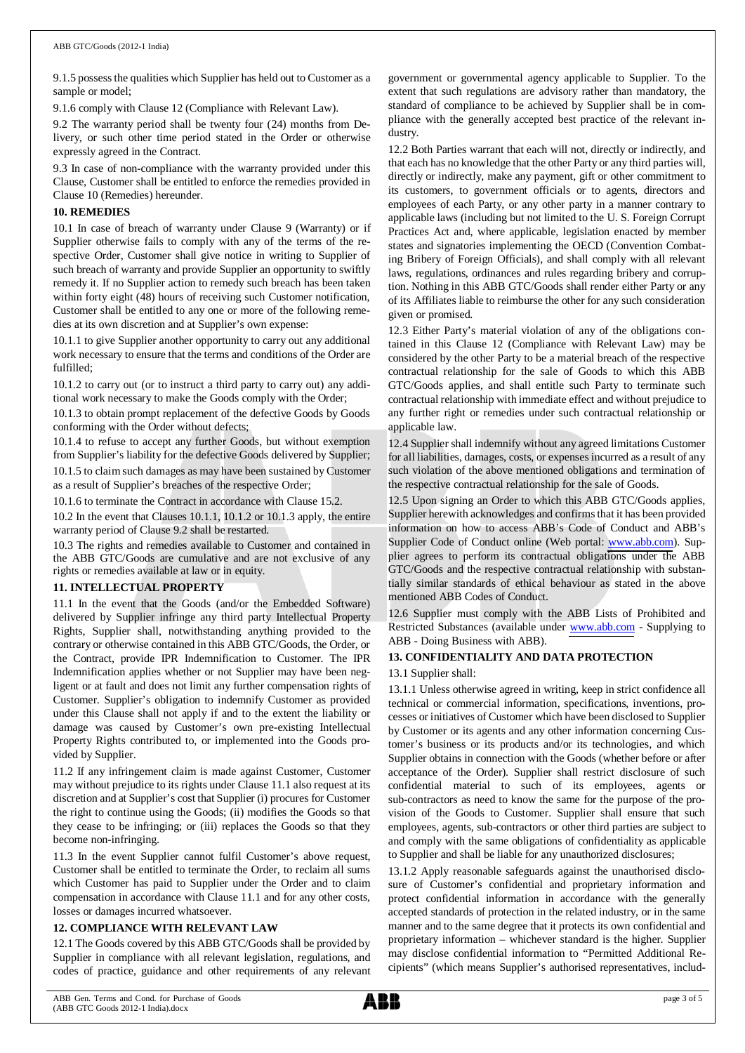9.1.5 possess the qualities which Supplier has held out to Customer as a sample or model;

9.1.6 comply with Clause 12 (Compliance with Relevant Law).

9.2 The warranty period shall be twenty four (24) months from Delivery, or such other time period stated in the Order or otherwise expressly agreed in the Contract.

9.3 In case of non-compliance with the warranty provided under this Clause, Customer shall be entitled to enforce the remedies provided in Clause 10 (Remedies) hereunder.

## **10. REMEDIES**

10.1 In case of breach of warranty under Clause 9 (Warranty) or if Supplier otherwise fails to comply with any of the terms of the respective Order, Customer shall give notice in writing to Supplier of such breach of warranty and provide Supplier an opportunity to swiftly remedy it. If no Supplier action to remedy such breach has been taken within forty eight (48) hours of receiving such Customer notification, Customer shall be entitled to any one or more of the following remedies at its own discretion and at Supplier's own expense:

10.1.1 to give Supplier another opportunity to carry out any additional work necessary to ensure that the terms and conditions of the Order are fulfilled;

10.1.2 to carry out (or to instruct a third party to carry out) any additional work necessary to make the Goods comply with the Order;

10.1.3 to obtain prompt replacement of the defective Goods by Goods conforming with the Order without defects;

10.1.4 to refuse to accept any further Goods, but without exemption from Supplier's liability for the defective Goods delivered by Supplier;

10.1.5 to claim such damages as may have been sustained by Customer as a result of Supplier's breaches of the respective Order;

10.1.6 to terminate the Contract in accordance with Clause 15.2.

10.2 In the event that Clauses 10.1.1, 10.1.2 or 10.1.3 apply, the entire warranty period of Clause 9.2 shall be restarted.

10.3 The rights and remedies available to Customer and contained in the ABB GTC/Goods are cumulative and are not exclusive of any rights or remedies available at law or in equity.

# **11. INTELLECTUAL PROPERTY**

11.1 In the event that the Goods (and/or the Embedded Software) delivered by Supplier infringe any third party Intellectual Property Rights, Supplier shall, notwithstanding anything provided to the contrary or otherwise contained in this ABB GTC/Goods, the Order, or the Contract, provide IPR Indemnification to Customer. The IPR Indemnification applies whether or not Supplier may have been negligent or at fault and does not limit any further compensation rights of Customer. Supplier's obligation to indemnify Customer as provided under this Clause shall not apply if and to the extent the liability or damage was caused by Customer's own pre-existing Intellectual Property Rights contributed to, or implemented into the Goods provided by Supplier.

11.2 If any infringement claim is made against Customer, Customer may without prejudice to its rights under Clause 11.1 also request at its discretion and at Supplier's cost that Supplier (i) procures for Customer the right to continue using the Goods; (ii) modifies the Goods so that they cease to be infringing; or (iii) replaces the Goods so that they become non-infringing.

11.3 In the event Supplier cannot fulfil Customer's above request, Customer shall be entitled to terminate the Order, to reclaim all sums which Customer has paid to Supplier under the Order and to claim compensation in accordance with Clause 11.1 and for any other costs, losses or damages incurred whatsoever.

# **12. COMPLIANCE WITH RELEVANT LAW**

12.1 The Goods covered by this ABB GTC/Goods shall be provided by Supplier in compliance with all relevant legislation, regulations, and codes of practice, guidance and other requirements of any relevant government or governmental agency applicable to Supplier. To the extent that such regulations are advisory rather than mandatory, the standard of compliance to be achieved by Supplier shall be in compliance with the generally accepted best practice of the relevant industry.

12.2 Both Parties warrant that each will not, directly or indirectly, and that each has no knowledge that the other Party or any third parties will, directly or indirectly, make any payment, gift or other commitment to its customers, to government officials or to agents, directors and employees of each Party, or any other party in a manner contrary to applicable laws (including but not limited to the U. S. Foreign Corrupt Practices Act and, where applicable, legislation enacted by member states and signatories implementing the OECD (Convention Combating Bribery of Foreign Officials), and shall comply with all relevant laws, regulations, ordinances and rules regarding bribery and corruption. Nothing in this ABB GTC/Goods shall render either Party or any of its Affiliates liable to reimburse the other for any such consideration given or promised.

12.3 Either Party's material violation of any of the obligations contained in this Clause 12 (Compliance with Relevant Law) may be considered by the other Party to be a material breach of the respective contractual relationship for the sale of Goods to which this ABB GTC/Goods applies, and shall entitle such Party to terminate such contractual relationship with immediate effect and without prejudice to any further right or remedies under such contractual relationship or applicable law.

12.4 Supplier shall indemnify without any agreed limitations Customer for all liabilities, damages, costs, or expenses incurred as a result of any such violation of the above mentioned obligations and termination of the respective contractual relationship for the sale of Goods.

12.5 Upon signing an Order to which this ABB GTC/Goods applies, Supplier herewith acknowledges and confirms that it has been provided information on how to access ABB's Code of Conduct and ABB's Supplier Code of Conduct online (Web portal: [www.abb.com](http://www.abb.com/)). Supplier agrees to perform its contractual obligations under the ABB GTC/Goods and the respective contractual relationship with substantially similar standards of ethical behaviour as stated in the above mentioned ABB Codes of Conduct.

12.6 Supplier must comply with the ABB Lists of Prohibited and Restricted Substances (available under [www.abb.com](http://www.abb.com/) - Supplying to ABB - Doing Business with ABB).

# **13. CONFIDENTIALITY AND DATA PROTECTION**

### 13.1 Supplier shall:

13.1.1 Unless otherwise agreed in writing, keep in strict confidence all technical or commercial information, specifications, inventions, processes or initiatives of Customer which have been disclosed to Supplier by Customer or its agents and any other information concerning Customer's business or its products and/or its technologies, and which Supplier obtains in connection with the Goods (whether before or after acceptance of the Order). Supplier shall restrict disclosure of such confidential material to such of its employees, agents or sub-contractors as need to know the same for the purpose of the provision of the Goods to Customer. Supplier shall ensure that such employees, agents, sub-contractors or other third parties are subject to and comply with the same obligations of confidentiality as applicable to Supplier and shall be liable for any unauthorized disclosures;

13.1.2 Apply reasonable safeguards against the unauthorised disclosure of Customer's confidential and proprietary information and protect confidential information in accordance with the generally accepted standards of protection in the related industry, or in the same manner and to the same degree that it protects its own confidential and proprietary information – whichever standard is the higher. Supplier may disclose confidential information to "Permitted Additional Recipients" (which means Supplier's authorised representatives, includ-

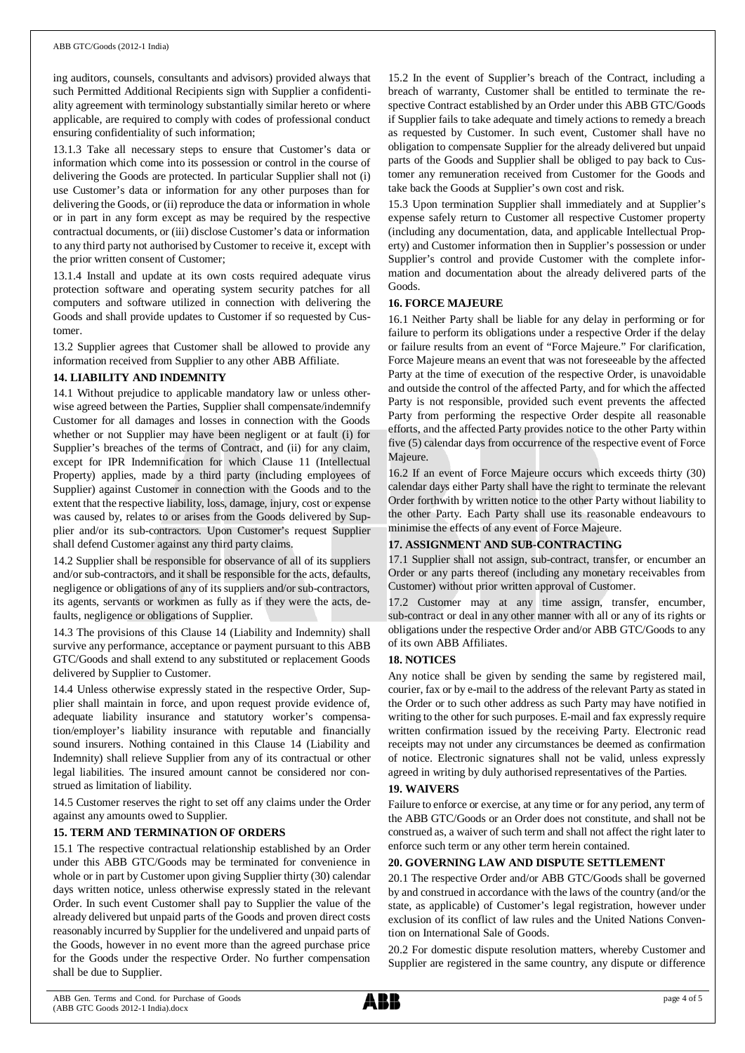#### ABB GTC/Goods (2012-1 India)

ing auditors, counsels, consultants and advisors) provided always that such Permitted Additional Recipients sign with Supplier a confidentiality agreement with terminology substantially similar hereto or where applicable, are required to comply with codes of professional conduct ensuring confidentiality of such information;

13.1.3 Take all necessary steps to ensure that Customer's data or information which come into its possession or control in the course of delivering the Goods are protected. In particular Supplier shall not (i) use Customer's data or information for any other purposes than for delivering the Goods, or (ii) reproduce the data or information in whole or in part in any form except as may be required by the respective contractual documents, or (iii) disclose Customer's data or information to any third party not authorised by Customer to receive it, except with the prior written consent of Customer;

13.1.4 Install and update at its own costs required adequate virus protection software and operating system security patches for all computers and software utilized in connection with delivering the Goods and shall provide updates to Customer if so requested by Customer.

13.2 Supplier agrees that Customer shall be allowed to provide any information received from Supplier to any other ABB Affiliate.

### **14. LIABILITY AND INDEMNITY**

14.1 Without prejudice to applicable mandatory law or unless otherwise agreed between the Parties, Supplier shall compensate/indemnify Customer for all damages and losses in connection with the Goods whether or not Supplier may have been negligent or at fault (i) for Supplier's breaches of the terms of Contract, and (ii) for any claim, except for IPR Indemnification for which Clause 11 (Intellectual Property) applies, made by a third party (including employees of Supplier) against Customer in connection with the Goods and to the extent that the respective liability, loss, damage, injury, cost or expense was caused by, relates to or arises from the Goods delivered by Supplier and/or its sub-contractors. Upon Customer's request Supplier shall defend Customer against any third party claims.

14.2 Supplier shall be responsible for observance of all of its suppliers and/or sub-contractors, and it shall be responsible for the acts, defaults, negligence or obligations of any of its suppliers and/or sub-contractors, its agents, servants or workmen as fully as if they were the acts, defaults, negligence or obligations of Supplier.

14.3 The provisions of this Clause 14 (Liability and Indemnity) shall survive any performance, acceptance or payment pursuant to this ABB GTC/Goods and shall extend to any substituted or replacement Goods delivered by Supplier to Customer.

14.4 Unless otherwise expressly stated in the respective Order, Supplier shall maintain in force, and upon request provide evidence of, adequate liability insurance and statutory worker's compensation/employer's liability insurance with reputable and financially sound insurers. Nothing contained in this Clause 14 (Liability and Indemnity) shall relieve Supplier from any of its contractual or other legal liabilities. The insured amount cannot be considered nor construed as limitation of liability.

14.5 Customer reserves the right to set off any claims under the Order against any amounts owed to Supplier.

### **15. TERM AND TERMINATION OF ORDERS**

15.1 The respective contractual relationship established by an Order under this ABB GTC/Goods may be terminated for convenience in whole or in part by Customer upon giving Supplier thirty (30) calendar days written notice, unless otherwise expressly stated in the relevant Order. In such event Customer shall pay to Supplier the value of the already delivered but unpaid parts of the Goods and proven direct costs reasonably incurred by Supplier for the undelivered and unpaid parts of the Goods, however in no event more than the agreed purchase price for the Goods under the respective Order. No further compensation shall be due to Supplier.

15.2 In the event of Supplier's breach of the Contract, including a breach of warranty, Customer shall be entitled to terminate the respective Contract established by an Order under this ABB GTC/Goods if Supplier fails to take adequate and timely actions to remedy a breach as requested by Customer. In such event, Customer shall have no obligation to compensate Supplier for the already delivered but unpaid parts of the Goods and Supplier shall be obliged to pay back to Customer any remuneration received from Customer for the Goods and take back the Goods at Supplier's own cost and risk.

15.3 Upon termination Supplier shall immediately and at Supplier's expense safely return to Customer all respective Customer property (including any documentation, data, and applicable Intellectual Property) and Customer information then in Supplier's possession or under Supplier's control and provide Customer with the complete information and documentation about the already delivered parts of the Goods.

#### **16. FORCE MAJEURE**

16.1 Neither Party shall be liable for any delay in performing or for failure to perform its obligations under a respective Order if the delay or failure results from an event of "Force Majeure." For clarification, Force Majeure means an event that was not foreseeable by the affected Party at the time of execution of the respective Order, is unavoidable and outside the control of the affected Party, and for which the affected Party is not responsible, provided such event prevents the affected Party from performing the respective Order despite all reasonable efforts, and the affected Party provides notice to the other Party within five (5) calendar days from occurrence of the respective event of Force Majeure.

16.2 If an event of Force Majeure occurs which exceeds thirty (30) calendar days either Party shall have the right to terminate the relevant Order forthwith by written notice to the other Party without liability to the other Party. Each Party shall use its reasonable endeavours to minimise the effects of any event of Force Majeure.

### **17. ASSIGNMENT AND SUB-CONTRACTING**

17.1 Supplier shall not assign, sub-contract, transfer, or encumber an Order or any parts thereof (including any monetary receivables from Customer) without prior written approval of Customer.

17.2 Customer may at any time assign, transfer, encumber, sub-contract or deal in any other manner with all or any of its rights or obligations under the respective Order and/or ABB GTC/Goods to any of its own ABB Affiliates.

### **18. NOTICES**

Any notice shall be given by sending the same by registered mail, courier, fax or by e-mail to the address of the relevant Party as stated in the Order or to such other address as such Party may have notified in writing to the other for such purposes. E-mail and fax expressly require written confirmation issued by the receiving Party. Electronic read receipts may not under any circumstances be deemed as confirmation of notice. Electronic signatures shall not be valid, unless expressly agreed in writing by duly authorised representatives of the Parties.

#### **19. WAIVERS**

Failure to enforce or exercise, at any time or for any period, any term of the ABB GTC/Goods or an Order does not constitute, and shall not be construed as, a waiver of such term and shall not affect the right later to enforce such term or any other term herein contained.

#### **20. GOVERNING LAW AND DISPUTE SETTLEMENT**

20.1 The respective Order and/or ABB GTC/Goods shall be governed by and construed in accordance with the laws of the country (and/or the state, as applicable) of Customer's legal registration, however under exclusion of its conflict of law rules and the United Nations Convention on International Sale of Goods.

20.2 For domestic dispute resolution matters, whereby Customer and Supplier are registered in the same country, any dispute or difference